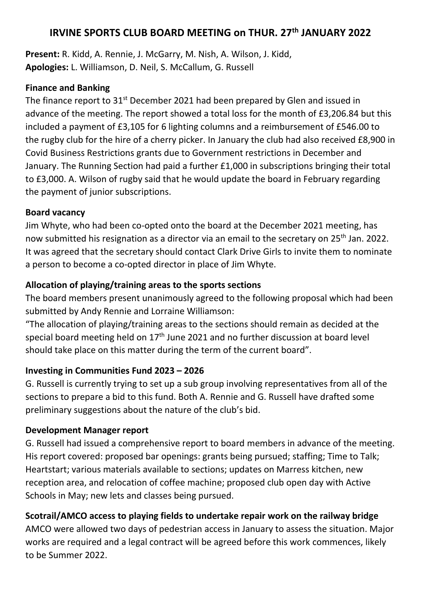# **IRVINE SPORTS CLUB BOARD MEETING on THUR. 27th JANUARY 2022**

**Present:** R. Kidd, A. Rennie, J. McGarry, M. Nish, A. Wilson, J. Kidd, **Apologies:** L. Williamson, D. Neil, S. McCallum, G. Russell

#### **Finance and Banking**

The finance report to 31<sup>st</sup> December 2021 had been prepared by Glen and issued in advance of the meeting. The report showed a total loss for the month of £3,206.84 but this included a payment of £3,105 for 6 lighting columns and a reimbursement of £546.00 to the rugby club for the hire of a cherry picker. In January the club had also received £8,900 in Covid Business Restrictions grants due to Government restrictions in December and January. The Running Section had paid a further £1,000 in subscriptions bringing their total to £3,000. A. Wilson of rugby said that he would update the board in February regarding the payment of junior subscriptions.

#### **Board vacancy**

Jim Whyte, who had been co-opted onto the board at the December 2021 meeting, has now submitted his resignation as a director via an email to the secretary on 25<sup>th</sup> Jan. 2022. It was agreed that the secretary should contact Clark Drive Girls to invite them to nominate a person to become a co-opted director in place of Jim Whyte.

# **Allocation of playing/training areas to the sports sections**

The board members present unanimously agreed to the following proposal which had been submitted by Andy Rennie and Lorraine Williamson:

"The allocation of playing/training areas to the sections should remain as decided at the special board meeting held on  $17<sup>th</sup>$  June 2021 and no further discussion at board level should take place on this matter during the term of the current board".

### **Investing in Communities Fund 2023 – 2026**

G. Russell is currently trying to set up a sub group involving representatives from all of the sections to prepare a bid to this fund. Both A. Rennie and G. Russell have drafted some preliminary suggestions about the nature of the club's bid.

### **Development Manager report**

G. Russell had issued a comprehensive report to board members in advance of the meeting. His report covered: proposed bar openings: grants being pursued; staffing; Time to Talk; Heartstart; various materials available to sections; updates on Marress kitchen, new reception area, and relocation of coffee machine; proposed club open day with Active Schools in May; new lets and classes being pursued.

# **Scotrail/AMCO access to playing fields to undertake repair work on the railway bridge**

AMCO were allowed two days of pedestrian access in January to assess the situation. Major works are required and a legal contract will be agreed before this work commences, likely to be Summer 2022.